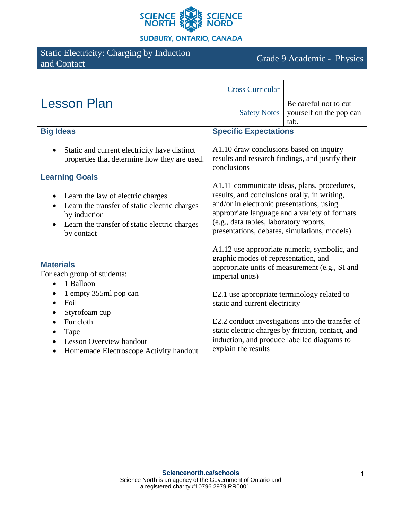

**SUDBURY, ONTARIO, CANADA** 

# Static Electricity: Charging by Induction

Grade 9 Academic - Physics

| <b>Lesson Plan</b>                                                                                                                                                                                                                             | <b>Cross Curricular</b>                                                                                                                                                                                                                                                                                                                                                                                                                                                                                                                                                                                                                                                                                           |                                                          |
|------------------------------------------------------------------------------------------------------------------------------------------------------------------------------------------------------------------------------------------------|-------------------------------------------------------------------------------------------------------------------------------------------------------------------------------------------------------------------------------------------------------------------------------------------------------------------------------------------------------------------------------------------------------------------------------------------------------------------------------------------------------------------------------------------------------------------------------------------------------------------------------------------------------------------------------------------------------------------|----------------------------------------------------------|
|                                                                                                                                                                                                                                                | <b>Safety Notes</b>                                                                                                                                                                                                                                                                                                                                                                                                                                                                                                                                                                                                                                                                                               | Be careful not to cut<br>yourself on the pop can<br>tab. |
| <b>Big Ideas</b>                                                                                                                                                                                                                               | <b>Specific Expectations</b>                                                                                                                                                                                                                                                                                                                                                                                                                                                                                                                                                                                                                                                                                      |                                                          |
| Static and current electricity have distinct<br>properties that determine how they are used.                                                                                                                                                   | A1.10 draw conclusions based on inquiry<br>results and research findings, and justify their<br>conclusions                                                                                                                                                                                                                                                                                                                                                                                                                                                                                                                                                                                                        |                                                          |
| <b>Learning Goals</b>                                                                                                                                                                                                                          |                                                                                                                                                                                                                                                                                                                                                                                                                                                                                                                                                                                                                                                                                                                   |                                                          |
| Learn the law of electric charges<br>٠<br>Learn the transfer of static electric charges<br>$\bullet$<br>by induction<br>Learn the transfer of static electric charges<br>by contact                                                            | A1.11 communicate ideas, plans, procedures,<br>results, and conclusions orally, in writing,<br>and/or in electronic presentations, using<br>appropriate language and a variety of formats<br>(e.g., data tables, laboratory reports,<br>presentations, debates, simulations, models)<br>A1.12 use appropriate numeric, symbolic, and<br>graphic modes of representation, and<br>appropriate units of measurement (e.g., SI and<br>imperial units)<br>E2.1 use appropriate terminology related to<br>static and current electricity<br>E2.2 conduct investigations into the transfer of<br>static electric charges by friction, contact, and<br>induction, and produce labelled diagrams to<br>explain the results |                                                          |
| <b>Materials</b><br>For each group of students:<br>1 Balloon<br>1 empty 355ml pop can<br>٠<br>Foil<br>$\bullet$<br>Styrofoam cup<br>$\bullet$<br>Fur cloth<br>Tape<br><b>Lesson Overview handout</b><br>Homemade Electroscope Activity handout |                                                                                                                                                                                                                                                                                                                                                                                                                                                                                                                                                                                                                                                                                                                   |                                                          |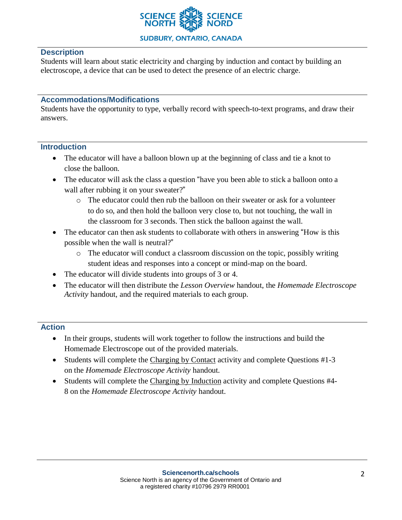

## **Description**

Students will learn about static electricity and charging by induction and contact by building an electroscope, a device that can be used to detect the presence of an electric charge.

#### **Accommodations/Modifications**

Students have the opportunity to type, verbally record with speech-to-text programs, and draw their answers.

#### **Introduction**

- The educator will have a balloon blown up at the beginning of class and tie a knot to close the balloon.
- The educator will ask the class a question "have you been able to stick a balloon onto a wall after rubbing it on your sweater?"
	- o The educator could then rub the balloon on their sweater or ask for a volunteer to do so, and then hold the balloon very close to, but not touching, the wall in the classroom for 3 seconds. Then stick the balloon against the wall.
- The educator can then ask students to collaborate with others in answering "How is this possible when the wall is neutral?"
	- o The educator will conduct a classroom discussion on the topic, possibly writing student ideas and responses into a concept or mind-map on the board.
- The educator will divide students into groups of 3 or 4.
- The educator will then distribute the *Lesson Overview* handout, the *Homemade Electroscope Activity* handout, and the required materials to each group.

#### **Action**

- In their groups, students will work together to follow the instructions and build the Homemade Electroscope out of the provided materials.
- Students will complete the Charging by Contact activity and complete Questions #1-3 on the *Homemade Electroscope Activity* handout.
- Students will complete the Charging by Induction activity and complete Questions #4- 8 on the *Homemade Electroscope Activity* handout.